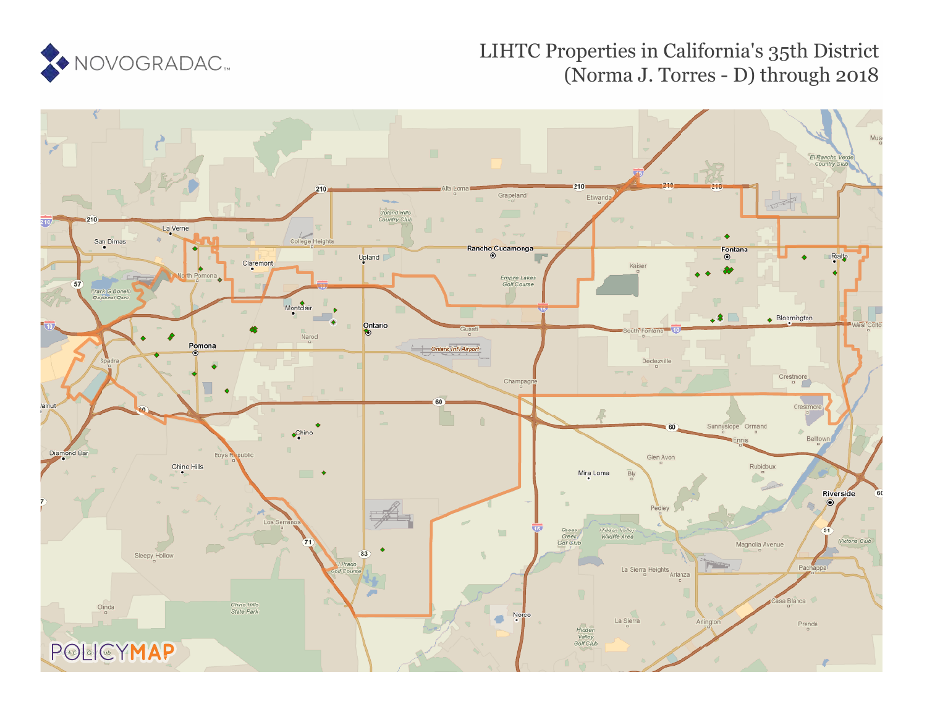

# LIHTC Properties in California's 35th District (Norma J. Torres - D) through 2018

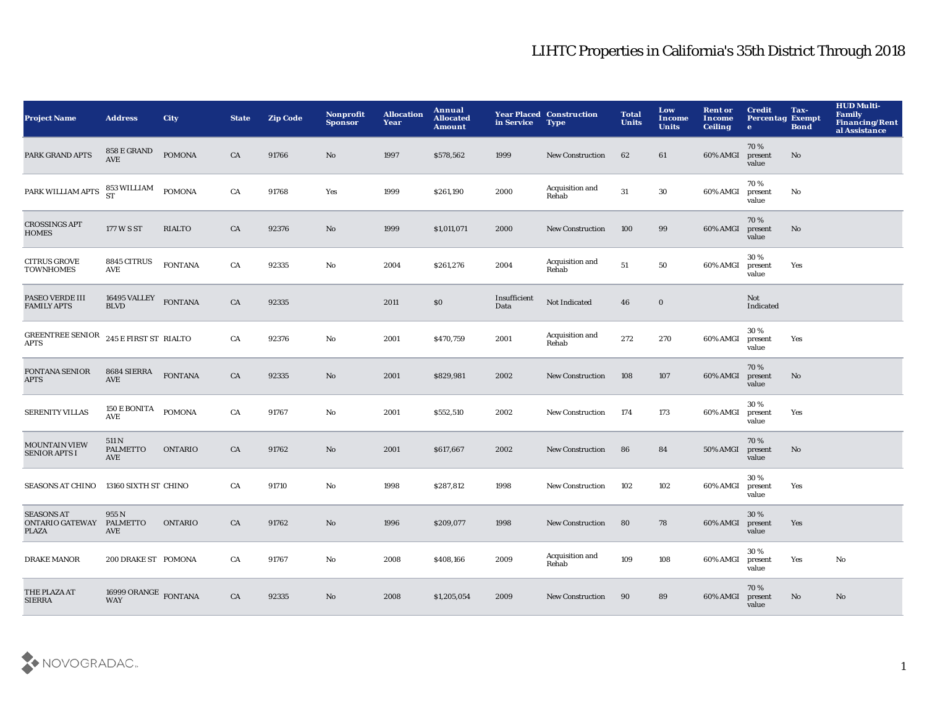| <b>Project Name</b>                                  | <b>Address</b>                          | City           | <b>State</b> | <b>Zip Code</b> | Nonprofit<br><b>Sponsor</b> | <b>Allocation</b><br>Year | Annual<br><b>Allocated</b><br><b>Amount</b> | in Service           | <b>Year Placed Construction</b><br><b>Type</b> | <b>Total</b><br><b>Units</b> | Low<br>Income<br><b>Units</b> | <b>Rent or</b><br>Income<br><b>Ceiling</b> | <b>Credit</b><br><b>Percentag Exempt</b><br>$\bullet$ | Tax-<br><b>Bond</b> | <b>HUD Multi-</b><br><b>Family</b><br><b>Financing/Rent</b><br>al Assistance |
|------------------------------------------------------|-----------------------------------------|----------------|--------------|-----------------|-----------------------------|---------------------------|---------------------------------------------|----------------------|------------------------------------------------|------------------------------|-------------------------------|--------------------------------------------|-------------------------------------------------------|---------------------|------------------------------------------------------------------------------|
| PARK GRAND APTS                                      | 858 E GRAND<br><b>AVE</b>               | <b>POMONA</b>  | CA           | 91766           | No                          | 1997                      | \$578,562                                   | 1999                 | <b>New Construction</b>                        | 62                           | 61                            | 60% AMGI                                   | 70%<br>present<br>value                               | No                  |                                                                              |
| PARK WILLIAM APTS                                    | 853 WILLIAM<br>ST                       | <b>POMONA</b>  | CA           | 91768           | Yes                         | 1999                      | \$261,190                                   | 2000                 | Acquisition and<br>Rehab                       | 31                           | 30                            | 60% AMGI                                   | 70%<br>present<br>value                               | No                  |                                                                              |
| <b>CROSSINGS APT</b><br><b>HOMES</b>                 | 177 W S ST                              | <b>RIALTO</b>  | CA           | 92376           | No                          | 1999                      | \$1,011,071                                 | 2000                 | <b>New Construction</b>                        | 100                          | 99                            | 60% AMGI                                   | 70%<br>present<br>value                               | No                  |                                                                              |
| <b>CITRUS GROVE</b><br><b>TOWNHOMES</b>              | 8845 CITRUS<br>AVE                      | <b>FONTANA</b> | CA           | 92335           | No                          | 2004                      | \$261,276                                   | 2004                 | Acquisition and<br>Rehab                       | 51                           | 50                            | 60% AMGI                                   | 30%<br>present<br>value                               | Yes                 |                                                                              |
| PASEO VERDE III<br><b>FAMILY APTS</b>                | 16495 VALLEY<br><b>BLVD</b>             | <b>FONTANA</b> | CA           | 92335           |                             | 2011                      | $\$0$                                       | Insufficient<br>Data | Not Indicated                                  | 46                           | $\bf{0}$                      |                                            | Not<br>Indicated                                      |                     |                                                                              |
| <b>GREENTREE SENIOR</b><br><b>APTS</b>               | 245 E FIRST ST RIALTO                   |                | CA           | 92376           | No                          | 2001                      | \$470,759                                   | 2001                 | Acquisition and<br>Rehab                       | 272                          | 270                           | 60% AMGI                                   | 30%<br>present<br>value                               | Yes                 |                                                                              |
| <b>FONTANA SENIOR</b><br><b>APTS</b>                 | 8684 SIERRA<br><b>AVE</b>               | <b>FONTANA</b> | CA           | 92335           | No                          | 2001                      | \$829,981                                   | 2002                 | <b>New Construction</b>                        | 108                          | 107                           | 60% AMGI                                   | 70%<br>present<br>value                               | $\mathbf{No}$       |                                                                              |
| <b>SERENITY VILLAS</b>                               | 150 E BONITA<br>AVE                     | <b>POMONA</b>  | CA           | 91767           | No                          | 2001                      | \$552,510                                   | 2002                 | <b>New Construction</b>                        | 174                          | 173                           | 60% AMGI                                   | 30%<br>present<br>value                               | Yes                 |                                                                              |
| <b>MOUNTAIN VIEW</b><br><b>SENIOR APTS I</b>         | 511 N<br><b>PALMETTO</b><br>AVE         | <b>ONTARIO</b> | CA           | 91762           | No                          | 2001                      | \$617,667                                   | 2002                 | <b>New Construction</b>                        | 86                           | 84                            | 50% AMGI                                   | 70%<br>present<br>value                               | $\mathbf{No}$       |                                                                              |
| <b>SEASONS AT CHINO</b>                              | 13160 SIXTH ST CHINO                    |                | CA           | 91710           | No                          | 1998                      | \$287,812                                   | 1998                 | <b>New Construction</b>                        | 102                          | 102                           | 60% AMGI                                   | 30%<br>present<br>value                               | Yes                 |                                                                              |
| <b>SEASONS AT</b><br>ONTARIO GATEWAY<br><b>PLAZA</b> | 955 N<br><b>PALMETTO</b><br>AVE         | <b>ONTARIO</b> | CA           | 91762           | No                          | 1996                      | \$209,077                                   | 1998                 | <b>New Construction</b>                        | 80                           | 78                            | 60% AMGI                                   | 30%<br>present<br>value                               | Yes                 |                                                                              |
| <b>DRAKE MANOR</b>                                   | 200 DRAKE ST POMONA                     |                | CA           | 91767           | No                          | 2008                      | \$408,166                                   | 2009                 | Acquisition and<br>Rehab                       | 109                          | 108                           | 60% AMGI                                   | 30%<br>present<br>value                               | Yes                 | No                                                                           |
| THE PLAZA AT<br><b>SIERRA</b>                        | 16999 ORANGE $\,$ FONTANA<br><b>WAY</b> |                | CA           | 92335           | No                          | 2008                      | \$1,205,054                                 | 2009                 | <b>New Construction</b>                        | 90                           | 89                            | 60% AMGI                                   | 70%<br>present<br>value                               | No                  | No                                                                           |

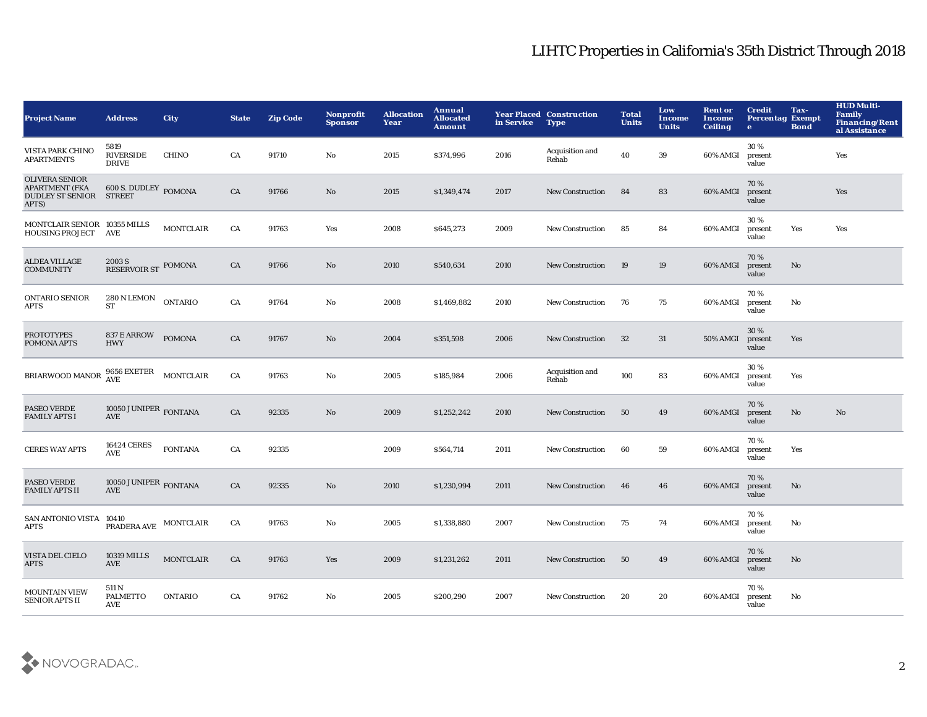| <b>Project Name</b>                                                                | <b>Address</b>                                                             | City             | <b>State</b> | <b>Zip Code</b> | Nonprofit<br><b>Sponsor</b> | <b>Allocation</b><br>Year | Annual<br><b>Allocated</b><br><b>Amount</b> | in Service | <b>Year Placed Construction</b><br><b>Type</b> | <b>Total</b><br><b>Units</b> | Low<br>Income<br><b>Units</b> | <b>Rent or</b><br>Income<br><b>Ceiling</b> | <b>Credit</b><br><b>Percentag Exempt</b><br>$\bullet$ | Tax-<br><b>Bond</b> | <b>HUD Multi-</b><br><b>Family</b><br><b>Financing/Rent</b><br>al Assistance |
|------------------------------------------------------------------------------------|----------------------------------------------------------------------------|------------------|--------------|-----------------|-----------------------------|---------------------------|---------------------------------------------|------------|------------------------------------------------|------------------------------|-------------------------------|--------------------------------------------|-------------------------------------------------------|---------------------|------------------------------------------------------------------------------|
| VISTA PARK CHINO<br><b>APARTMENTS</b>                                              | 5819<br><b>RIVERSIDE</b><br><b>DRIVE</b>                                   | <b>CHINO</b>     | CA           | 91710           | No                          | 2015                      | \$374,996                                   | 2016       | Acquisition and<br>Rehab                       | 40                           | 39                            | 60% AMGI                                   | 30%<br>present<br>value                               |                     | Yes                                                                          |
| <b>OLIVERA SENIOR</b><br><b>APARTMENT (FKA</b><br><b>DUDLEY ST SENIOR</b><br>APTS) | <b>600 S. DUDLEY POMONA</b><br><b>STREET</b>                               |                  | CA           | 91766           | No                          | 2015                      | \$1,349,474                                 | 2017       | <b>New Construction</b>                        | 84                           | 83                            | 60% AMGI                                   | 70%<br>present<br>value                               |                     | Yes                                                                          |
| MONTCLAIR SENIOR 10355 MILLS<br><b>HOUSING PROJECT</b>                             | AVE                                                                        | <b>MONTCLAIR</b> | CA           | 91763           | Yes                         | 2008                      | \$645,273                                   | 2009       | New Construction                               | 85                           | 84                            | 60% AMGI                                   | 30%<br>present<br>value                               | Yes                 | Yes                                                                          |
| <b>ALDEA VILLAGE</b><br><b>COMMUNITY</b>                                           | 2003 S<br>RESERVOIR ST POMONA                                              |                  | CA           | 91766           | No                          | 2010                      | \$540,634                                   | 2010       | <b>New Construction</b>                        | 19                           | 19                            | 60% AMGI                                   | 70%<br>present<br>value                               | No                  |                                                                              |
| <b>ONTARIO SENIOR</b><br>APTS                                                      | 280 N LEMON<br>ST                                                          | <b>ONTARIO</b>   | CA           | 91764           | No                          | 2008                      | \$1,469,882                                 | 2010       | <b>New Construction</b>                        | 76                           | 75                            | 60% AMGI                                   | 70%<br>present<br>value                               | No                  |                                                                              |
| <b>PROTOTYPES</b><br>POMONA APTS                                                   | 837 E ARROW<br><b>HWY</b>                                                  | <b>POMONA</b>    | CA           | 91767           | No.                         | 2004                      | \$351,598                                   | 2006       | <b>New Construction</b>                        | 32                           | 31                            | <b>50% AMGI</b>                            | 30%<br>present<br>value                               | Yes                 |                                                                              |
| BRIARWOOD MANOR                                                                    | 9656 EXETER<br>AVE                                                         | <b>MONTCLAIR</b> | CA           | 91763           | No                          | 2005                      | \$185,984                                   | 2006       | Acquisition and<br>Rehab                       | 100                          | 83                            | 60% AMGI                                   | 30%<br>present<br>value                               | Yes                 |                                                                              |
| PASEO VERDE<br><b>FAMILY APTS I</b>                                                | 10050 JUNIPER $_{\rm FONTANA}$<br><b>AVE</b>                               |                  | CA           | 92335           | No                          | 2009                      | \$1,252,242                                 | 2010       | <b>New Construction</b>                        | 50                           | 49                            | 60% AMGI                                   | 70%<br>present<br>value                               | No                  | $\mathbf{N}\mathbf{o}$                                                       |
| <b>CERES WAY APTS</b>                                                              | <b>16424 CERES</b><br>AVE                                                  | <b>FONTANA</b>   | CA           | 92335           |                             | 2009                      | \$564,714                                   | 2011       | <b>New Construction</b>                        | 60                           | 59                            | 60% AMGI                                   | 70%<br>present<br>value                               | Yes                 |                                                                              |
| PASEO VERDE<br><b>FAMILY APTS II</b>                                               | 10050 JUNIPER $_{\rm FONTANA}$<br><b>AVE</b>                               |                  | ${\rm CA}$   | 92335           | No                          | 2010                      | \$1,230,994                                 | 2011       | <b>New Construction</b>                        | 46                           | 46                            | 60% AMGI                                   | 70%<br>present<br>value                               | No                  |                                                                              |
| SAN ANTONIO VISTA 10410<br>APTS                                                    | $\begin{array}{lll} \textbf{PRADERA AVE} & \textbf{MONTCLAIR} \end{array}$ |                  | CA           | 91763           | No                          | 2005                      | \$1,338,880                                 | 2007       | <b>New Construction</b>                        | 75                           | 74                            | 60% AMGI                                   | 70%<br>present<br>value                               | No                  |                                                                              |
| VISTA DEL CIELO<br><b>APTS</b>                                                     | <b>10319 MILLS</b><br>AVE                                                  | <b>MONTCLAIR</b> | CA           | 91763           | Yes                         | 2009                      | \$1,231,262                                 | 2011       | <b>New Construction</b>                        | 50                           | 49                            | 60% AMGI                                   | 70%<br>present<br>value                               | No                  |                                                                              |
| <b>MOUNTAIN VIEW</b><br><b>SENIOR APTS II</b>                                      | 511 N<br><b>PALMETTO</b><br>AVE                                            | <b>ONTARIO</b>   | CA           | 91762           | No                          | 2005                      | \$200,290                                   | 2007       | <b>New Construction</b>                        | 20                           | 20                            | 60% AMGI                                   | 70%<br>present<br>value                               | No                  |                                                                              |

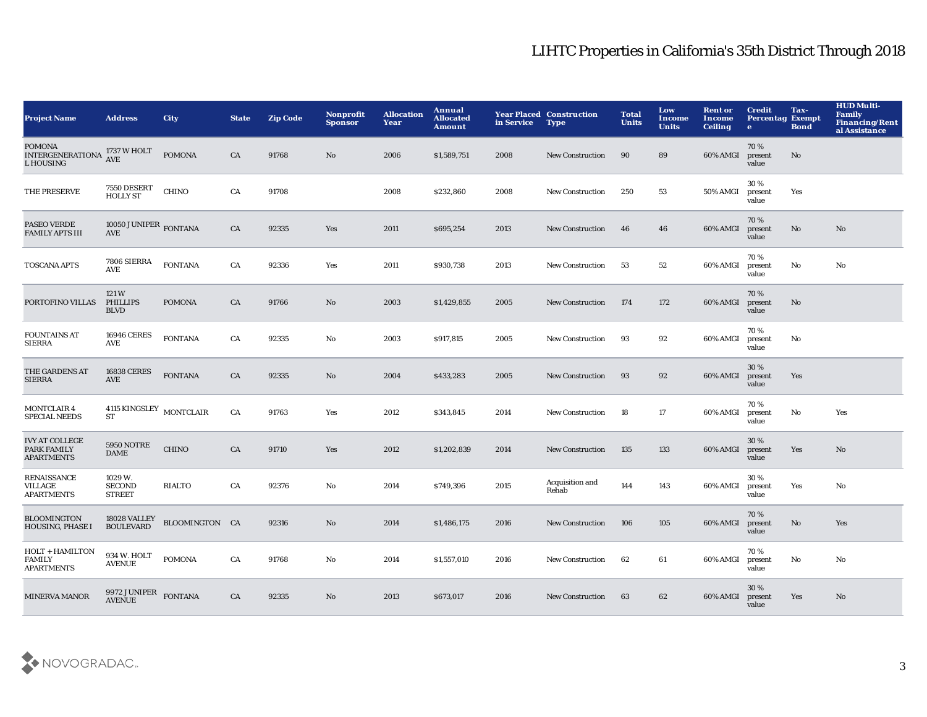| <b>Project Name</b>                                          | <b>Address</b>                            | <b>City</b>    | <b>State</b> | <b>Zip Code</b> | Nonprofit<br><b>Sponsor</b> | <b>Allocation</b><br>Year | Annual<br><b>Allocated</b><br><b>Amount</b> | in Service | <b>Year Placed Construction</b><br><b>Type</b> | <b>Total</b><br><b>Units</b> | Low<br>Income<br><b>Units</b> | <b>Rent or</b><br>Income<br><b>Ceiling</b> | <b>Credit</b><br><b>Percentag Exempt</b><br>$\bullet$ | Tax-<br><b>Bond</b> | <b>HUD Multi-</b><br><b>Family</b><br><b>Financing/Rent</b><br>al Assistance |
|--------------------------------------------------------------|-------------------------------------------|----------------|--------------|-----------------|-----------------------------|---------------------------|---------------------------------------------|------------|------------------------------------------------|------------------------------|-------------------------------|--------------------------------------------|-------------------------------------------------------|---------------------|------------------------------------------------------------------------------|
| <b>POMONA</b><br>INTERGENERATIONA AVE<br>L HOUSING           | 1737 W HOLT                               | <b>POMONA</b>  | CA           | 91768           | $\mathbf{N}\mathbf{o}$      | 2006                      | \$1,589,751                                 | 2008       | <b>New Construction</b>                        | 90                           | 89                            | 60% AMGI                                   | 70 %<br>present<br>value                              | No                  |                                                                              |
| THE PRESERVE                                                 | 7550 DESERT<br><b>HOLLY ST</b>            | <b>CHINO</b>   | CA           | 91708           |                             | 2008                      | \$232,860                                   | 2008       | <b>New Construction</b>                        | 250                          | 53                            | 50% AMGI                                   | 30%<br>present<br>value                               | Yes                 |                                                                              |
| <b>PASEO VERDE</b><br><b>FAMILY APTS III</b>                 | 10050 JUNIPER FONTANA<br>AVE              |                | CA           | 92335           | Yes                         | 2011                      | \$695,254                                   | 2013       | <b>New Construction</b>                        | 46                           | 46                            | 60% AMGI                                   | 70%<br>present<br>value                               | No                  | No                                                                           |
| <b>TOSCANA APTS</b>                                          | 7806 SIERRA<br><b>AVE</b>                 | <b>FONTANA</b> | CA           | 92336           | Yes                         | 2011                      | \$930,738                                   | 2013       | <b>New Construction</b>                        | 53                           | 52                            | 60% AMGI                                   | 70%<br>present<br>value                               | No                  | No                                                                           |
| PORTOFINO VILLAS                                             | 121W<br><b>PHILLIPS</b><br><b>BLVD</b>    | <b>POMONA</b>  | CA           | 91766           | $\mathbf{N}\mathbf{o}$      | 2003                      | \$1,429,855                                 | 2005       | <b>New Construction</b>                        | 174                          | 172                           | 60% AMGI                                   | 70%<br>present<br>value                               | No                  |                                                                              |
| <b>FOUNTAINS AT</b><br><b>SIERRA</b>                         | <b>16946 CERES</b><br>AVE                 | <b>FONTANA</b> | CA           | 92335           | No                          | 2003                      | \$917,815                                   | 2005       | <b>New Construction</b>                        | 93                           | 92                            | 60% AMGI                                   | 70%<br>present<br>value                               | No                  |                                                                              |
| THE GARDENS AT<br><b>SIERRA</b>                              | <b>16838 CERES</b><br>AVE                 | <b>FONTANA</b> | CA           | 92335           | No                          | 2004                      | \$433,283                                   | 2005       | <b>New Construction</b>                        | 93                           | 92                            | 60% AMGI                                   | 30%<br>present<br>value                               | Yes                 |                                                                              |
| <b>MONTCLAIR 4</b><br><b>SPECIAL NEEDS</b>                   | $4115$ KINGSLEY $\,$ MONTCLAIR<br>ST      |                | ${\rm CA}$   | 91763           | Yes                         | 2012                      | \$343,845                                   | 2014       | New Construction                               | 18                           | 17                            | 60% AMGI                                   | 70%<br>present<br>value                               | No                  | Yes                                                                          |
| <b>IVY AT COLLEGE</b><br>PARK FAMILY<br><b>APARTMENTS</b>    | <b>5950 NOTRE</b><br><b>DAME</b>          | <b>CHINO</b>   | CA           | 91710           | Yes                         | 2012                      | \$1,202,839                                 | 2014       | <b>New Construction</b>                        | 135                          | 133                           | 60% AMGI                                   | 30%<br>present<br>value                               | Yes                 | $\mathbf{N}\mathbf{o}$                                                       |
| <b>RENAISSANCE</b><br><b>VILLAGE</b><br><b>APARTMENTS</b>    | 1029 W.<br><b>SECOND</b><br><b>STREET</b> | <b>RIALTO</b>  | CA           | 92376           | No                          | 2014                      | \$749,396                                   | 2015       | Acquisition and<br>Rehab                       | 144                          | 143                           | 60% AMGI                                   | 30%<br>present<br>value                               | Yes                 | No                                                                           |
| <b>BLOOMINGTON</b><br>HOUSING, PHASE I                       | 18028 VALLEY<br><b>BOULEVARD</b>          | BLOOMINGTON CA |              | 92316           | $\mathbf{N}\mathbf{o}$      | 2014                      | \$1,486,175                                 | 2016       | <b>New Construction</b>                        | 106                          | 105                           | 60% AMGI                                   | 70%<br>present<br>value                               | No                  | Yes                                                                          |
| <b>HOLT + HAMILTON</b><br><b>FAMILY</b><br><b>APARTMENTS</b> | 934 W. HOLT<br><b>AVENUE</b>              | <b>POMONA</b>  | CA           | 91768           | No                          | 2014                      | \$1,557,010                                 | 2016       | <b>New Construction</b>                        | 62                           | 61                            | 60% AMGI                                   | 70%<br>present<br>value                               | No                  | No                                                                           |
| <b>MINERVA MANOR</b>                                         | 9972 JUNIPER<br><b>AVENUE</b>             | <b>FONTANA</b> | CA           | 92335           | No                          | 2013                      | \$673,017                                   | 2016       | <b>New Construction</b>                        | 63                           | 62                            | 60% AMGI                                   | 30%<br>present<br>value                               | Yes                 | $\mathbf{N}\mathbf{o}$                                                       |